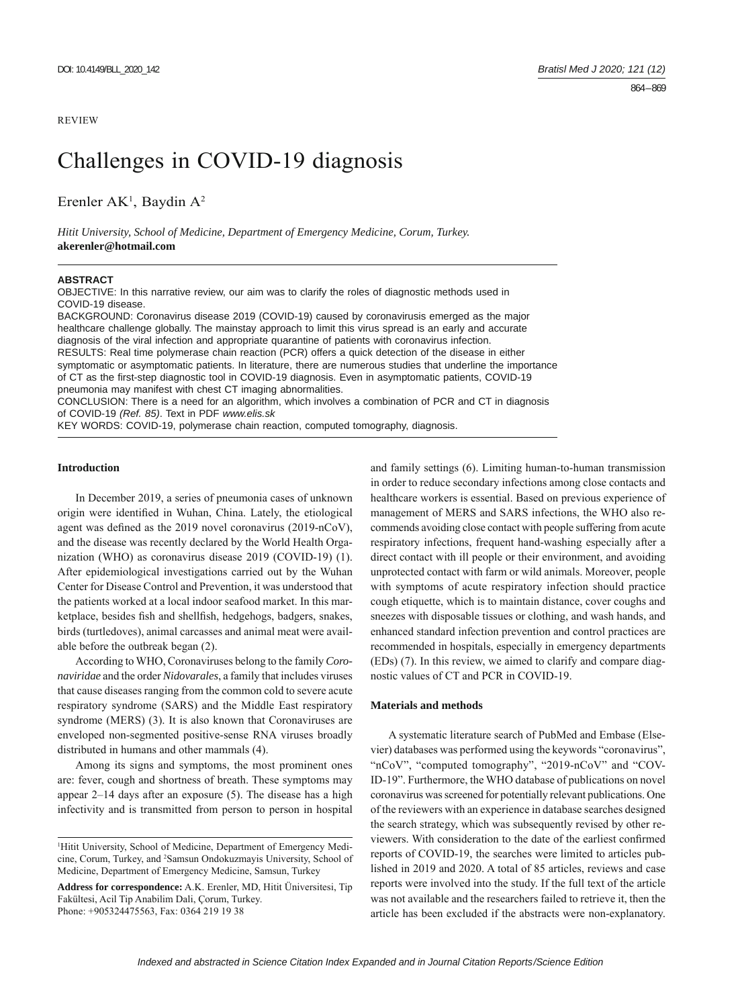## REVIEW

# Challenges in COVID-19 diagnosis

Erenler  $AK<sup>1</sup>$ , Baydin  $A<sup>2</sup>$ 

*Hitit University, School of Medicine, Department of Emergency Medicine, Corum, Turkey.* **akerenler@hotmail.com**

#### **ABSTRACT**

OBJECTIVE: In this narrative review, our aim was to clarify the roles of diagnostic methods used in COVID-19 disease.

BACKGROUND: Coronavirus disease 2019 (COVID-19) caused by coronavirusis emerged as the major healthcare challenge globally. The mainstay approach to limit this virus spread is an early and accurate diagnosis of the viral infection and appropriate quarantine of patients with coronavirus infection. RESULTS: Real time polymerase chain reaction (PCR) offers a quick detection of the disease in either

symptomatic or asymptomatic patients. In literature, there are numerous studies that underline the importance of CT as the first-step diagnostic tool in COVID-19 diagnosis. Even in asymptomatic patients, COVID-19 pneumonia may manifest with chest CT imaging abnormalities.

CONCLUSION: There is a need for an algorithm, which involves a combination of PCR and CT in diagnosis of COVID-19 *(Ref. 85)*. Text in PDF *www.elis.sk*

KEY WORDS: COVID-19, polymerase chain reaction, computed tomography, diagnosis.

# **Introduction**

In December 2019, a series of pneumonia cases of unknown origin were identified in Wuhan, China. Lately, the etiological agent was defined as the 2019 novel coronavirus (2019-nCoV), and the disease was recently declared by the World Health Organization (WHO) as coronavirus disease 2019 (COVID-19) (1). After epidemiological investigations carried out by the Wuhan Center for Disease Control and Prevention, it was understood that the patients worked at a local indoor seafood market. In this marketplace, besides fish and shellfish, hedgehogs, badgers, snakes, birds (turtledoves), animal carcasses and animal meat were available before the outbreak began (2).

According to WHO, Coronaviruses belong to the family *Coronaviridae* and the order *Nidovarales*, a family that includes viruses that cause diseases ranging from the common cold to severe acute respiratory syndrome (SARS) and the Middle East respiratory syndrome (MERS) (3). It is also known that Coronaviruses are enveloped non-segmented positive-sense RNA viruses broadly distributed in humans and other mammals (4).

Among its signs and symptoms, the most prominent ones are: fever, cough and shortness of breath. These symptoms may appear  $2-14$  days after an exposure (5). The disease has a high infectivity and is transmitted from person to person in hospital

**Address for correspondence:** A.K. Erenler, MD, Hitit Üniversitesi, Tip Fakültesi, Acil Tip Anabilim Dali, Çorum, Turkey. Phone: +905324475563, Fax: 0364 219 19 38

and family settings (6). Limiting human-to-human transmission in order to reduce secondary infections among close contacts and healthcare workers is essential. Based on previous experience of management of MERS and SARS infections, the WHO also recommends avoiding close contact with people suffering from acute respiratory infections, frequent hand-washing especially after a direct contact with ill people or their environment, and avoiding unprotected contact with farm or wild animals. Moreover, people with symptoms of acute respiratory infection should practice cough etiquette, which is to maintain distance, cover coughs and sneezes with disposable tissues or clothing, and wash hands, and enhanced standard infection prevention and control practices are recommended in hospitals, especially in emergency departments (EDs) (7). In this review, we aimed to clarify and compare diagnostic values of CT and PCR in COVID-19.

# **Materials and methods**

A systematic literature search of PubMed and Embase (Elsevier) databases was performed using the keywords "coronavirus", "nCoV", "computed tomography", "2019-nCoV" and "COV-ID-19". Furthermore, the WHO database of publications on novel coronavirus was screened for potentially relevant publications. One of the reviewers with an experience in database searches designed the search strategy, which was subsequently revised by other reviewers. With consideration to the date of the earliest confirmed reports of COVID-19, the searches were limited to articles published in 2019 and 2020. A total of 85 articles, reviews and case reports were involved into the study. If the full text of the article was not available and the researchers failed to retrieve it, then the article has been excluded if the abstracts were non-explanatory.

<sup>1</sup> Hitit University, School of Medicine, Department of Emergency Medicine, Corum, Turkey, and <sup>2</sup>Samsun Ondokuzmayis University, School of Medicine, Department of Emergency Medicine, Samsun, Turkey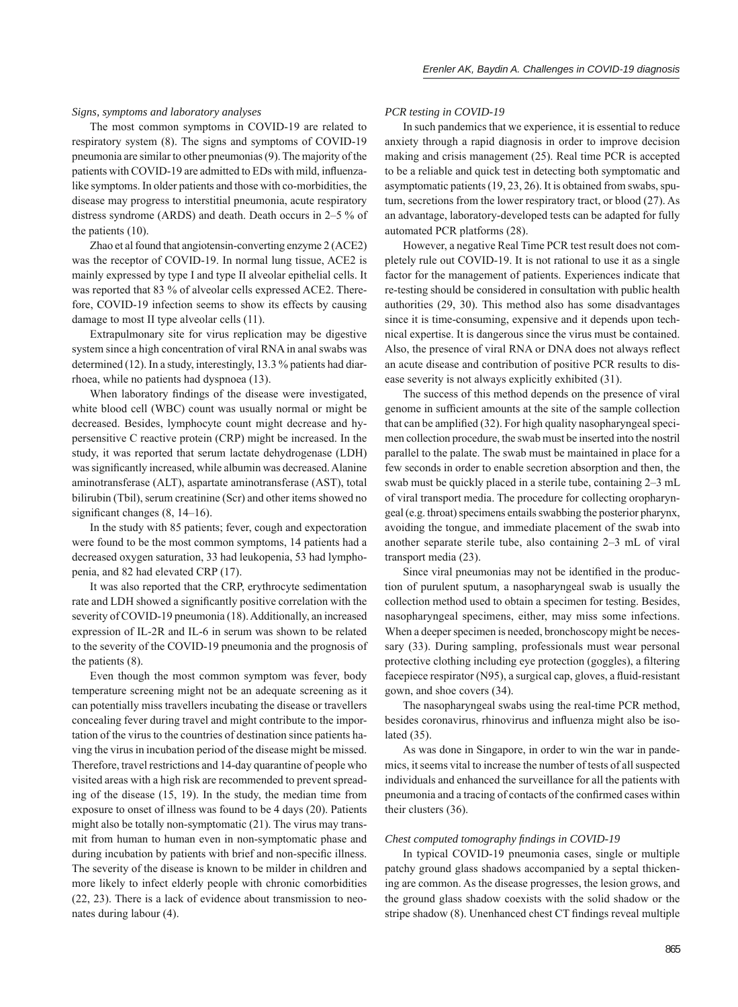### *Signs, symptoms and laboratory analyses*

The most common symptoms in COVID-19 are related to respiratory system (8). The signs and symptoms of COVID-19 pneumonia are similar to other pneumonias (9). The majority of the patients with COVID-19 are admitted to EDs with mild, influenzalike symptoms. In older patients and those with co-morbidities, the disease may progress to interstitial pneumonia, acute respiratory distress syndrome (ARDS) and death. Death occurs in 2–5 % of the patients (10).

Zhao et al found that angiotensin-converting enzyme 2 (ACE2) was the receptor of COVID-19. In normal lung tissue, ACE2 is mainly expressed by type I and type II alveolar epithelial cells. It was reported that 83 % of alveolar cells expressed ACE2. Therefore, COVID-19 infection seems to show its effects by causing damage to most II type alveolar cells (11).

Extrapulmonary site for virus replication may be digestive system since a high concentration of viral RNA in anal swabs was determined (12). In a study, interestingly, 13.3 % patients had diarrhoea, while no patients had dyspnoea (13).

When laboratory findings of the disease were investigated, white blood cell (WBC) count was usually normal or might be decreased. Besides, lymphocyte count might decrease and hypersensitive C reactive protein (CRP) might be increased. In the study, it was reported that serum lactate dehydrogenase (LDH) was significantly increased, while albumin was decreased. Alanine aminotransferase (ALT), aspartate aminotransferase (AST), total bilirubin (Tbil), serum creatinine (Scr) and other items showed no significant changes  $(8, 14-16)$ .

In the study with 85 patients; fever, cough and expectoration were found to be the most common symptoms, 14 patients had a decreased oxygen saturation, 33 had leukopenia, 53 had lymphopenia, and 82 had elevated CRP (17).

It was also reported that the CRP, erythrocyte sedimentation rate and LDH showed a significantly positive correlation with the severity of COVID-19 pneumonia (18). Additionally, an increased expression of IL-2R and IL-6 in serum was shown to be related to the severity of the COVID-19 pneumonia and the prognosis of the patients (8).

Even though the most common symptom was fever, body temperature screening might not be an adequate screening as it can potentially miss travellers incubating the disease or travellers concealing fever during travel and might contribute to the importation of the virus to the countries of destination since patients having the virus in incubation period of the disease might be missed. Therefore, travel restrictions and 14-day quarantine of people who visited areas with a high risk are recommended to prevent spreading of the disease (15, 19). In the study, the median time from exposure to onset of illness was found to be 4 days (20). Patients might also be totally non-symptomatic (21). The virus may transmit from human to human even in non-symptomatic phase and during incubation by patients with brief and non-specific illness. The severity of the disease is known to be milder in children and more likely to infect elderly people with chronic comorbidities (22, 23). There is a lack of evidence about transmission to neonates during labour (4).

## *PCR testing in COVID-19*

In such pandemics that we experience, it is essential to reduce anxiety through a rapid diagnosis in order to improve decision making and crisis management  $(25)$ . Real time PCR is accepted to be a reliable and quick test in detecting both symptomatic and asymptomatic patients (19, 23, 26). It is obtained from swabs, sputum, secretions from the lower respiratory tract, or blood (27). As an advantage, laboratory-developed tests can be adapted for fully automated PCR platforms (28).

However, a negative Real Time PCR test result does not completely rule out COVID-19. It is not rational to use it as a single factor for the management of patients. Experiences indicate that re-testing should be considered in consultation with public health authorities (29, 30). This method also has some disadvantages since it is time-consuming, expensive and it depends upon technical expertise. It is dangerous since the virus must be contained. Also, the presence of viral RNA or DNA does not always reflect an acute disease and contribution of positive PCR results to disease severity is not always explicitly exhibited (31).

The success of this method depends on the presence of viral genome in sufficient amounts at the site of the sample collection that can be amplified  $(32)$ . For high quality nasopharyngeal specimen collection procedure, the swab must be inserted into the nostril parallel to the palate. The swab must be maintained in place for a few seconds in order to enable secretion absorption and then, the swab must be quickly placed in a sterile tube, containing 2–3 mL of viral transport media. The procedure for collecting oropharyngeal (e.g. throat) specimens entails swabbing the posterior pharynx, avoiding the tongue, and immediate placement of the swab into another separate sterile tube, also containing 2–3 mL of viral transport media (23).

Since viral pneumonias may not be identified in the production of purulent sputum, a nasopharyngeal swab is usually the collection method used to obtain a specimen for testing. Besides, nasopharyngeal specimens, either, may miss some infections. When a deeper specimen is needed, bronchoscopy might be necessary (33). During sampling, professionals must wear personal protective clothing including eye protection (goggles), a filtering facepiece respirator (N95), a surgical cap, gloves, a fluid-resistant gown, and shoe covers (34).

The nasopharyngeal swabs using the real-time PCR method, besides coronavirus, rhinovirus and influenza might also be isolated (35).

As was done in Singapore, in order to win the war in pandemics, it seems vital to increase the number of tests of all suspected individuals and enhanced the surveillance for all the patients with pneumonia and a tracing of contacts of the confirmed cases within their clusters (36).

#### *Chest computed tomography findings in COVID-19*

In typical COVID-19 pneumonia cases, single or multiple patchy ground glass shadows accompanied by a septal thickening are common. As the disease progresses, the lesion grows, and the ground glass shadow coexists with the solid shadow or the stripe shadow (8). Unenhanced chest CT findings reveal multiple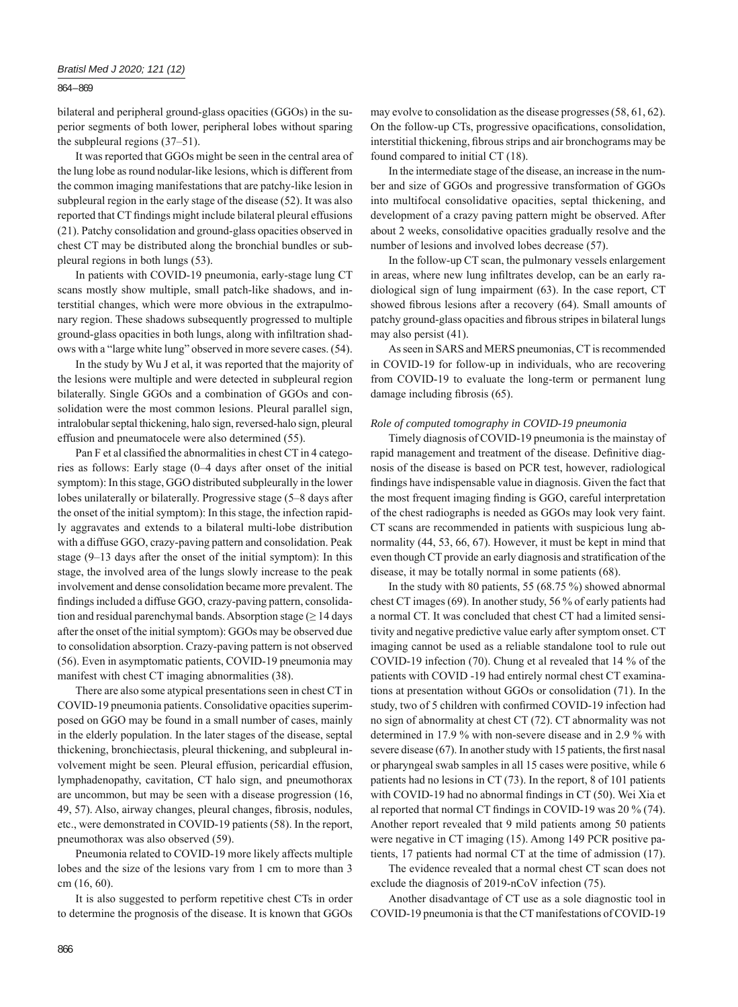## 864 – 869

bilateral and peripheral ground-glass opacities (GGOs) in the superior segments of both lower, peripheral lobes without sparing the subpleural regions (37–51).

It was reported that GGOs might be seen in the central area of the lung lobe as round nodular-like lesions, which is different from the common imaging manifestations that are patchy-like lesion in subpleural region in the early stage of the disease (52). It was also reported that CT findings might include bilateral pleural effusions (21). Patchy consolidation and ground-glass opacities observed in chest CT may be distributed along the bronchial bundles or subpleural regions in both lungs (53).

In patients with COVID-19 pneumonia, early-stage lung CT scans mostly show multiple, small patch-like shadows, and interstitial changes, which were more obvious in the extrapulmonary region. These shadows subsequently progressed to multiple ground-glass opacities in both lungs, along with infiltration shadows with a "large white lung" observed in more severe cases. (54).

In the study by Wu J et al, it was reported that the majority of the lesions were multiple and were detected in subpleural region bilaterally. Single GGOs and a combination of GGOs and consolidation were the most common lesions. Pleural parallel sign, intralobular septal thickening, halo sign, reversed-halo sign, pleural effusion and pneumatocele were also determined (55).

Pan F et al classified the abnormalities in chest CT in 4 categories as follows: Early stage (0‒4 days after onset of the initial symptom): In this stage, GGO distributed subpleurally in the lower lobes unilaterally or bilaterally. Progressive stage (5-8 days after the onset of the initial symptom): In this stage, the infection rapidly aggravates and extends to a bilateral multi-lobe distribution with a diffuse GGO, crazy-paving pattern and consolidation. Peak stage (9–13 days after the onset of the initial symptom): In this stage, the involved area of the lungs slowly increase to the peak involvement and dense consolidation became more prevalent. The findings included a diffuse GGO, crazy-paving pattern, consolidation and residual parenchymal bands. Absorption stage  $(\geq 14 \text{ days})$ after the onset of the initial symptom): GGOs may be observed due to consolidation absorption. Crazy-paving pattern is not observed (56). Even in asymptomatic patients, COVID-19 pneumonia may manifest with chest CT imaging abnormalities (38).

There are also some atypical presentations seen in chest CT in COVID-19 pneumonia patients. Consolidative opacities superimposed on GGO may be found in a small number of cases, mainly in the elderly population. In the later stages of the disease, septal thickening, bronchiectasis, pleural thickening, and subpleural involvement might be seen. Pleural effusion, pericardial effusion, lymphadenopathy, cavitation, CT halo sign, and pneumothorax are uncommon, but may be seen with a disease progression (16, 49, 57). Also, airway changes, pleural changes, fibrosis, nodules, etc., were demonstrated in COVID-19 patients (58). In the report, pneumothorax was also observed (59).

Pneumonia related to COVID-19 more likely affects multiple lobes and the size of the lesions vary from 1 cm to more than 3 cm (16, 60).

It is also suggested to perform repetitive chest CTs in order to determine the prognosis of the disease. It is known that GGOs may evolve to consolidation as the disease progresses (58, 61, 62). On the follow-up CTs, progressive opacifications, consolidation, interstitial thickening, fibrous strips and air bronchograms may be found compared to initial CT (18).

In the intermediate stage of the disease, an increase in the number and size of GGOs and progressive transformation of GGOs into multifocal consolidative opacities, septal thickening, and development of a crazy paving pattern might be observed. After about 2 weeks, consolidative opacities gradually resolve and the number of lesions and involved lobes decrease (57).

In the follow-up CT scan, the pulmonary vessels enlargement in areas, where new lung infiltrates develop, can be an early radiological sign of lung impairment (63). In the case report, CT showed fibrous lesions after a recovery (64). Small amounts of patchy ground-glass opacities and fibrous stripes in bilateral lungs may also persist (41).

As seen in SARS and MERS pneumonias, CT is recommended in COVID-19 for follow-up in individuals, who are recovering from COVID-19 to evaluate the long-term or permanent lung damage including fibrosis (65).

#### *Role of computed tomography in COVID-19 pneumonia*

Timely diagnosis of COVID-19 pneumonia is the mainstay of rapid management and treatment of the disease. Definitive diagnosis of the disease is based on PCR test, however, radiological findings have indispensable value in diagnosis. Given the fact that the most frequent imaging finding is GGO, careful interpretation of the chest radiographs is needed as GGOs may look very faint. CT scans are recommended in patients with suspicious lung abnormality (44, 53, 66, 67). However, it must be kept in mind that even though CT provide an early diagnosis and stratification of the disease, it may be totally normal in some patients (68).

In the study with 80 patients, 55 (68.75 %) showed abnormal chest CT images (69). In another study, 56 % of early patients had a normal CT. It was concluded that chest CT had a limited sensitivity and negative predictive value early after symptom onset. CT imaging cannot be used as a reliable standalone tool to rule out COVID-19 infection (70). Chung et al revealed that 14 % of the patients with COVID -19 had entirely normal chest CT examinations at presentation without GGOs or consolidation (71). In the study, two of 5 children with confirmed COVID-19 infection had no sign of abnormality at chest CT (72). CT abnormality was not determined in 17.9 % with non-severe disease and in 2.9 % with severe disease  $(67)$ . In another study with 15 patients, the first nasal or pharyngeal swab samples in all 15 cases were positive, while 6 patients had no lesions in CT (73). In the report, 8 of 101 patients with COVID-19 had no abnormal findings in  $CT(50)$ . Wei Xia et al reported that normal CT findings in COVID-19 was  $20\%$  (74). Another report revealed that 9 mild patients among 50 patients were negative in CT imaging (15). Among 149 PCR positive patients, 17 patients had normal CT at the time of admission (17).

The evidence revealed that a normal chest CT scan does not exclude the diagnosis of 2019-nCoV infection (75).

Another disadvantage of CT use as a sole diagnostic tool in COVID-19 pneumonia is that the CT manifestations of COVID-19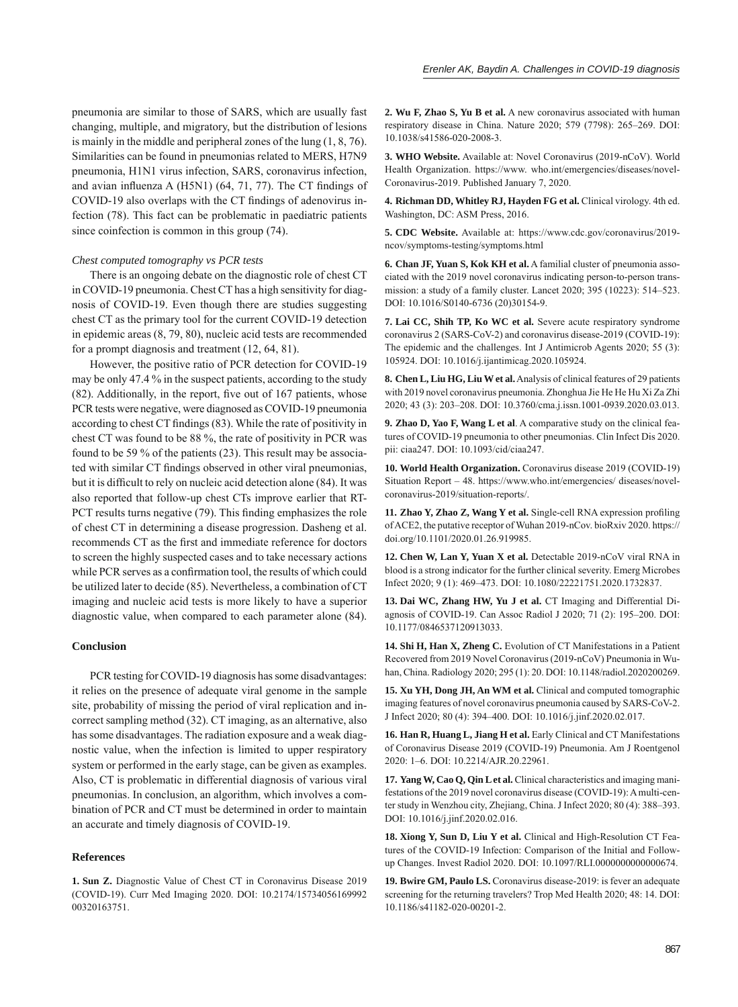pneumonia are similar to those of SARS, which are usually fast changing, multiple, and migratory, but the distribution of lesions is mainly in the middle and peripheral zones of the lung (1, 8, 76). Similarities can be found in pneumonias related to MERS, H7N9 pneumonia, H1N1 virus infection, SARS, coronavirus infection, and avian influenza A (H5N1) (64, 71, 77). The CT findings of COVID-19 also overlaps with the CT findings of adenovirus infection (78). This fact can be problematic in paediatric patients since coinfection is common in this group (74).

#### *Chest computed tomography vs PCR tests*

There is an ongoing debate on the diagnostic role of chest CT in COVID-19 pneumonia. Chest CT has a high sensitivity for diagnosis of COVID-19. Even though there are studies suggesting chest CT as the primary tool for the current COVID-19 detection in epidemic areas (8, 79, 80), nucleic acid tests are recommended for a prompt diagnosis and treatment (12, 64, 81).

However, the positive ratio of PCR detection for COVID-19 may be only 47.4 % in the suspect patients, according to the study  $(82)$ . Additionally, in the report, five out of 167 patients, whose PCR tests were negative, were diagnosed as COVID-19 pneumonia according to chest CT findings (83). While the rate of positivity in chest CT was found to be 88 %, the rate of positivity in PCR was found to be 59 % of the patients (23). This result may be associated with similar CT findings observed in other viral pneumonias, but it is difficult to rely on nucleic acid detection alone (84). It was also reported that follow-up chest CTs improve earlier that RT-PCT results turns negative (79). This finding emphasizes the role of chest CT in determining a disease progression. Dasheng et al. recommends CT as the first and immediate reference for doctors to screen the highly suspected cases and to take necessary actions while PCR serves as a confirmation tool, the results of which could be utilized later to decide (85). Nevertheless, a combination of CT imaging and nucleic acid tests is more likely to have a superior diagnostic value, when compared to each parameter alone (84).

# **Conclusion**

PCR testing for COVID-19 diagnosis has some disadvantages: it relies on the presence of adequate viral genome in the sample site, probability of missing the period of viral replication and incorrect sampling method (32). CT imaging, as an alternative, also has some disadvantages. The radiation exposure and a weak diagnostic value, when the infection is limited to upper respiratory system or performed in the early stage, can be given as examples. Also, CT is problematic in differential diagnosis of various viral pneumonias. In conclusion, an algorithm, which involves a combination of PCR and CT must be determined in order to maintain an accurate and timely diagnosis of COVID-19.

## **References**

**1. Sun Z.** Diagnostic Value of Chest CT in Coronavirus Disease 2019 (COVID-19). Curr Med Imaging 2020. DOI: 10.2174/15734056169992 00320163751.

**2. Wu F, Zhao S, Yu B et al.** A new coronavirus associated with human respiratory disease in China. Nature 2020; 579 (7798): 265-269. DOI: 10.1038/s41586-020-2008-3.

**3. WHO Website.** Available at: Novel Coronavirus (2019-nCoV). World Health Organization. https://www. who.int/emergencies/diseases/novel-Coronavirus-2019. Published January 7, 2020.

**4. Richman DD, Whitley RJ, Hayden FG et al.** Clinical virology. 4th ed. Washington, DC: ASM Press, 2016.

**5. CDC Website.** Available at: https://www.cdc.gov/coronavirus/2019 ncov/symptoms-testing/symptoms.html

**6. Chan JF, Yuan S, Kok KH et al.** A familial cluster of pneumonia associated with the 2019 novel coronavirus indicating person-to-person transmission: a study of a family cluster. Lancet 2020; 395 (10223): 514‒523. DOI: 10.1016/S0140-6736 (20)30154-9.

**7. Lai CC, Shih TP, Ko WC et al.** Severe acute respiratory syndrome coronavirus 2 (SARS-CoV-2) and coronavirus disease-2019 (COVID-19): The epidemic and the challenges. Int J Antimicrob Agents 2020; 55 (3): 105924. DOI: 10.1016/j.ijantimicag.2020.105924.

**8. Chen L, Liu HG, Liu W et al.** Analysis of clinical features of 29 patients with 2019 novel coronavirus pneumonia. Zhonghua Jie He He Hu Xi Za Zhi 2020; 43 (3): 203‒208. DOI: 10.3760/cma.j.issn.1001-0939.2020.03.013.

**9. Zhao D, Yao F, Wang L et al**. A comparative study on the clinical features of COVID-19 pneumonia to other pneumonias. Clin Infect Dis 2020. pii: ciaa247. DOI: 10.1093/cid/ciaa247.

**10. World Health Organization.** Coronavirus disease 2019 (COVID-19) Situation Report – 48. https://www.who.int/emergencies/ diseases/novelcoronavirus-2019/situation-reports/.

11. Zhao Y, Zhao Z, Wang Y et al. Single-cell RNA expression profiling of ACE2, the putative receptor of Wuhan 2019-nCov. bioRxiv 2020. https:// doi.org/10.1101/2020.01.26.919985.

**12. Chen W, Lan Y, Yuan X et al.** Detectable 2019-nCoV viral RNA in blood is a strong indicator for the further clinical severity. Emerg Microbes Infect 2020; 9 (1): 469‒473. DOI: 10.1080/22221751.2020.1732837.

**13. Dai WC, Zhang HW, Yu J et al.** CT Imaging and Differential Diagnosis of COVID-19. Can Assoc Radiol J 2020; 71 (2): 195-200. DOI: 10.1177/0846537120913033.

**14. Shi H, Han X, Zheng C.** Evolution of CT Manifestations in a Patient Recovered from 2019 Novel Coronavirus (2019-nCoV) Pneumonia in Wuhan, China. Radiology 2020; 295 (1): 20. DOI: 10.1148/radiol.2020200269.

**15. Xu YH, Dong JH, An WM et al.** Clinical and computed tomographic imaging features of novel coronavirus pneumonia caused by SARS-CoV-2. J Infect 2020; 80 (4): 394‒400. DOI: 10.1016/j.jinf.2020.02.017.

16. Han R, Huang L, Jiang H et al. Early Clinical and CT Manifestations of Coronavirus Disease 2019 (COVID-19) Pneumonia. Am J Roentgenol 2020: 1‒6. DOI: 10.2214/AJR.20.22961.

**17. Yang W, Cao Q, Qin L et al.** Clinical characteristics and imaging manifestations of the 2019 novel coronavirus disease (COVID-19): A multi-center study in Wenzhou city, Zhejiang, China. J Infect 2020; 80 (4): 388-393. DOI: 10.1016/j.jinf.2020.02.016.

**18. Xiong Y, Sun D, Liu Y et al.** Clinical and High-Resolution CT Features of the COVID-19 Infection: Comparison of the Initial and Followup Changes. Invest Radiol 2020. DOI: 10.1097/RLI.0000000000000674.

**19. Bwire GM, Paulo LS.** Coronavirus disease-2019: is fever an adequate screening for the returning travelers? Trop Med Health 2020; 48: 14. DOI: 10.1186/s41182-020-00201-2.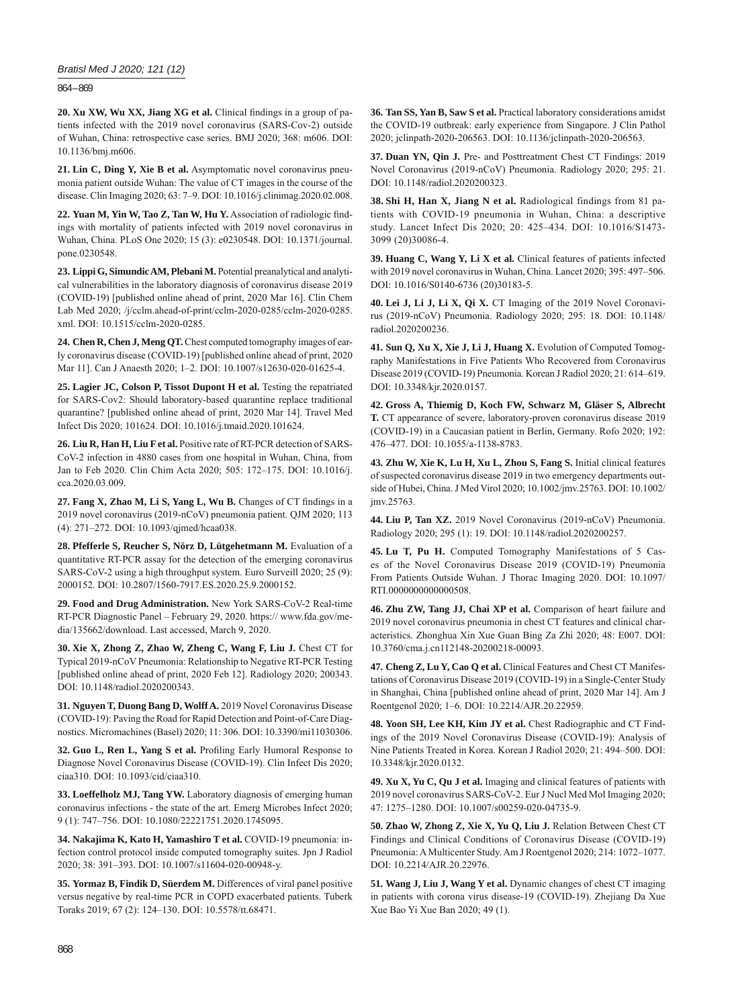## *Bratisl Med J 2020; 121 (12)*

864 – 869

20. Xu XW, Wu XX, Jiang XG et al. Clinical findings in a group of patients infected with the 2019 novel coronavirus (SARS-Cov-2) outside of Wuhan, China: retrospective case series. BMJ 2020; 368: m606. DOI: 10.1136/bmj.m606.

**21. Lin C, Ding Y, Xie B et al.** Asymptomatic novel coronavirus pneumonia patient outside Wuhan: The value of CT images in the course of the disease. Clin Imaging 2020; 63: 7‒9. DOI: 10.1016/j.clinimag.2020.02.008.

22. Yuan M, Yin W, Tao Z, Tan W, Hu Y. Association of radiologic findings with mortality of patients infected with 2019 novel coronavirus in Wuhan, China. PLoS One 2020; 15 (3): e0230548. DOI: 10.1371/journal. pone.0230548.

**23. Lippi G, Simundic AM, Plebani M.** Potential preanalytical and analytical vulnerabilities in the laboratory diagnosis of coronavirus disease 2019 (COVID-19) [published online ahead of print, 2020 Mar 16]. Clin Chem Lab Med 2020; /j/cclm.ahead-of-print/cclm-2020-0285/cclm-2020-0285. xml. DOI: 10.1515/cclm-2020-0285.

**24. Chen R, Chen J, Meng QT.** Chest computed tomography images of early coronavirus disease (COVID-19) [published online ahead of print, 2020 Mar 11]. Can J Anaesth 2020; 1-2. DOI: 10.1007/s12630-020-01625-4.

**25. Lagier JC, Colson P, Tissot Dupont H et al.** Testing the repatriated for SARS-Cov2: Should laboratory-based quarantine replace traditional quarantine? [published online ahead of print, 2020 Mar 14]. Travel Med Infect Dis 2020; 101624. DOI: 10.1016/j.tmaid.2020.101624.

**26. Liu R, Han H, Liu F et al.** Positive rate of RT-PCR detection of SARS-CoV-2 infection in 4880 cases from one hospital in Wuhan, China, from Jan to Feb 2020. Clin Chim Acta 2020; 505: 172-175. DOI: 10.1016/j. cca.2020.03.009.

27. Fang X, Zhao M, Li S, Yang L, Wu B. Changes of CT findings in a 2019 novel coronavirus (2019-nCoV) pneumonia patient. QJM 2020; 113 (4): 271‒272. DOI: 10.1093/qjmed/hcaa038.

**28. Pfefferle S, Reucher S, Nörz D, Lütgehetmann M.** Evaluation of a quantitative RT-PCR assay for the detection of the emerging coronavirus SARS-CoV-2 using a high throughput system. Euro Surveill 2020; 25 (9): 2000152. DOI: 10.2807/1560-7917.ES.2020.25.9.2000152.

**29. Food and Drug Administration.** New York SARS-CoV-2 Real-time RT-PCR Diagnostic Panel – February 29, 2020. https:// www.fda.gov/media/135662/download. Last accessed, March 9, 2020.

**30. Xie X, Zhong Z, Zhao W, Zheng C, Wang F, Liu J.** Chest CT for Typical 2019-nCoV Pneumonia: Relationship to Negative RT-PCR Testing [published online ahead of print, 2020 Feb 12]. Radiology 2020; 200343. DOI: 10.1148/radiol.2020200343.

**31. Nguyen T, Duong Bang D, Wolff A.** 2019 Novel Coronavirus Disease (COVID-19): Paving the Road for Rapid Detection and Point-of-Care Diagnostics. Micromachines (Basel) 2020; 11: 306. DOI: 10.3390/mi11030306.

32. Guo L, Ren L, Yang S et al. Profiling Early Humoral Response to Diagnose Novel Coronavirus Disease (COVID-19). Clin Infect Dis 2020; ciaa310. DOI: 10.1093/cid/ciaa310.

**33. Loeffelholz MJ, Tang YW.** Laboratory diagnosis of emerging human coronavirus infections - the state of the art. Emerg Microbes Infect 2020; 9 (1): 747‒756. DOI: 10.1080/22221751.2020.1745095.

**34. Nakajima K, Kato H, Yamashiro T et al.** COVID-19 pneumonia: infection control protocol inside computed tomography suites. Jpn J Radiol 2020; 38: 391‒393. DOI: 10.1007/s11604-020-00948-y.

**35. Yormaz B, Findik D, Süerdem M.** Differences of viral panel positive versus negative by real-time PCR in COPD exacerbated patients. Tuberk Toraks 2019; 67 (2): 124‒130. DOI: 10.5578/tt.68471.

**36. Tan SS, Yan B, Saw S et al.** Practical laboratory considerations amidst the COVID-19 outbreak: early experience from Singapore. J Clin Pathol 2020; jclinpath-2020-206563. DOI: 10.1136/jclinpath-2020-206563.

**37. Duan YN, Qin J.** Pre- and Posttreatment Chest CT Findings: 2019 Novel Coronavirus (2019-nCoV) Pneumonia. Radiology 2020; 295: 21. DOI: 10.1148/radiol.2020200323.

**38. Shi H, Han X, Jiang N et al.** Radiological findings from 81 patients with COVID-19 pneumonia in Wuhan, China: a descriptive study. Lancet Infect Dis 2020; 20: 425-434. DOI: 10.1016/S1473-3099 (20)30086-4.

**39. Huang C, Wang Y, Li X et al.** Clinical features of patients infected with 2019 novel coronavirus in Wuhan, China. Lancet 2020; 395: 497-506. DOI: 10.1016/S0140-6736 (20)30183-5.

**40. Lei J, Li J, Li X, Qi X.** CT Imaging of the 2019 Novel Coronavirus (2019-nCoV) Pneumonia. Radiology 2020; 295: 18. DOI: 10.1148/ radiol.2020200236.

**41. Sun Q, Xu X, Xie J, Li J, Huang X.** Evolution of Computed Tomography Manifestations in Five Patients Who Recovered from Coronavirus Disease 2019 (COVID-19) Pneumonia. Korean J Radiol 2020; 21: 614–619. DOI: 10.3348/kjr.2020.0157.

**42. Gross A, Thiemig D, Koch FW, Schwarz M, Gläser S, Albrecht T.** CT appearance of severe, laboratory-proven coronavirus disease 2019 (COVID-19) in a Caucasian patient in Berlin, Germany. Rofo 2020; 192: 476‒477. DOI: 10.1055/a-1138-8783.

**43. Zhu W, Xie K, Lu H, Xu L, Zhou S, Fang S.** Initial clinical features of suspected coronavirus disease 2019 in two emergency departments outside of Hubei, China. J Med Virol 2020; 10.1002/jmv.25763. DOI: 10.1002/ jmv.25763.

**44. Liu P, Tan XZ.** 2019 Novel Coronavirus (2019-nCoV) Pneumonia. Radiology 2020; 295 (1): 19. DOI: 10.1148/radiol.2020200257.

**45. Lu T, Pu H.** Computed Tomography Manifestations of 5 Cases of the Novel Coronavirus Disease 2019 (COVID-19) Pneumonia From Patients Outside Wuhan. J Thorac Imaging 2020. DOI: 10.1097/ RTI.0000000000000508.

**46. Zhu ZW, Tang JJ, Chai XP et al.** Comparison of heart failure and 2019 novel coronavirus pneumonia in chest CT features and clinical characteristics. Zhonghua Xin Xue Guan Bing Za Zhi 2020; 48: E007. DOI: 10.3760/cma.j.cn112148-20200218-00093.

**47. Cheng Z, Lu Y, Cao Q et al.** Clinical Features and Chest CT Manifestations of Coronavirus Disease 2019 (COVID-19) in a Single-Center Study in Shanghai, China [published online ahead of print, 2020 Mar 14]. Am J Roentgenol 2020; 1‒6. DOI: 10.2214/AJR.20.22959.

**48. Yoon SH, Lee KH, Kim JY et al.** Chest Radiographic and CT Findings of the 2019 Novel Coronavirus Disease (COVID-19): Analysis of Nine Patients Treated in Korea. Korean J Radiol 2020; 21: 494-500. DOI: 10.3348/kjr.2020.0132.

**49. Xu X, Yu C, Qu J et al.** Imaging and clinical features of patients with 2019 novel coronavirus SARS-CoV-2. Eur J Nucl Med Mol Imaging 2020; 47: 1275‒1280. DOI: 10.1007/s00259-020-04735-9.

**50. Zhao W, Zhong Z, Xie X, Yu Q, Liu J.** Relation Between Chest CT Findings and Clinical Conditions of Coronavirus Disease (COVID-19) Pneumonia: A Multicenter Study. Am J Roentgenol 2020; 214: 1072-1077. DOI: 10.2214/AJR.20.22976.

**51. Wang J, Liu J, Wang Y et al.** Dynamic changes of chest CT imaging in patients with corona virus disease-19 (COVID-19). Zhejiang Da Xue Xue Bao Yi Xue Ban 2020; 49 (1).